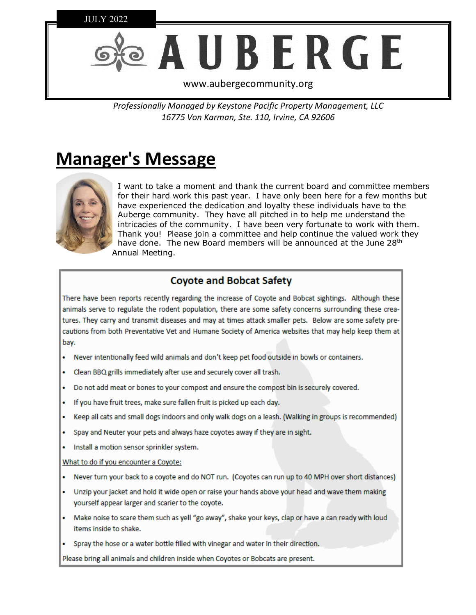

Professionally Managed by Keystone Pacific Property Management, LLC 16775 Von Karman, Ste. 110, Irvine, CA 92606

## **Manager's Message**



I want to take a moment and thank the current board and committee members for their hard work this past year. I have only been here for a few months but have experienced the dedication and loyalty these individuals have to the Auberge community. They have all pitched in to help me understand the intricacies of the community. I have been very fortunate to work with them. Thank you! Please join a committee and help continue the valued work they have done. The new Board members will be announced at the June 28<sup>th</sup> Annual Meeting.

## **Coyote and Bobcat Safety**

There have been reports recently regarding the increase of Coyote and Bobcat sightings. Although these animals serve to regulate the rodent population, there are some safety concerns surrounding these creatures. They carry and transmit diseases and may at times attack smaller pets. Below are some safety precautions from both Preventative Vet and Humane Society of America websites that may help keep them at bay.

- . Never intentionally feed wild animals and don't keep pet food outside in bowls or containers.
- Clean BBQ grills immediately after use and securely cover all trash.
- Do not add meat or bones to your compost and ensure the compost bin is securely covered.
- . If you have fruit trees, make sure fallen fruit is picked up each day.
- Keep all cats and small dogs indoors and only walk dogs on a leash. (Walking in groups is recommended)
- . Spay and Neuter your pets and always haze coyotes away if they are in sight.
- · Install a motion sensor sprinkler system.

#### What to do if you encounter a Coyote:

- . Never turn your back to a coyote and do NOT run. (Coyotes can run up to 40 MPH over short distances)
- . Unzip your jacket and hold it wide open or raise your hands above your head and wave them making yourself appear larger and scarier to the coyote.
- . Make noise to scare them such as yell "go away", shake your keys, clap or have a can ready with loud items inside to shake.
- Spray the hose or a water bottle filled with vinegar and water in their direction.

Please bring all animals and children inside when Coyotes or Bobcats are present.